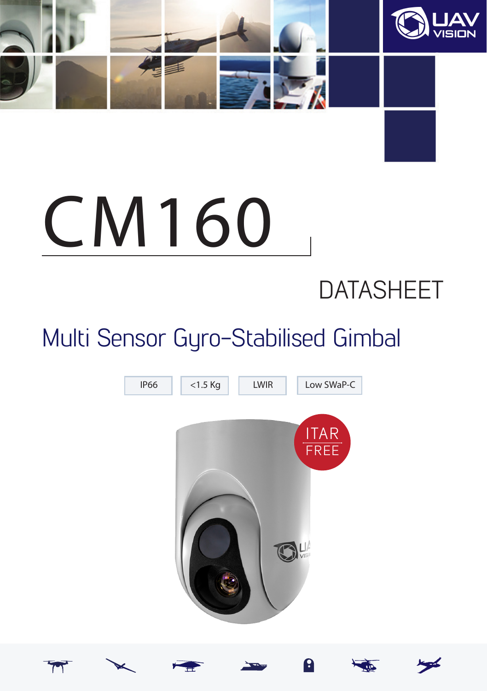

# CM160

## DATASHEET

## Multi Sensor Gyro-Stabilised Gimbal

![](_page_0_Picture_4.jpeg)

![](_page_0_Picture_5.jpeg)